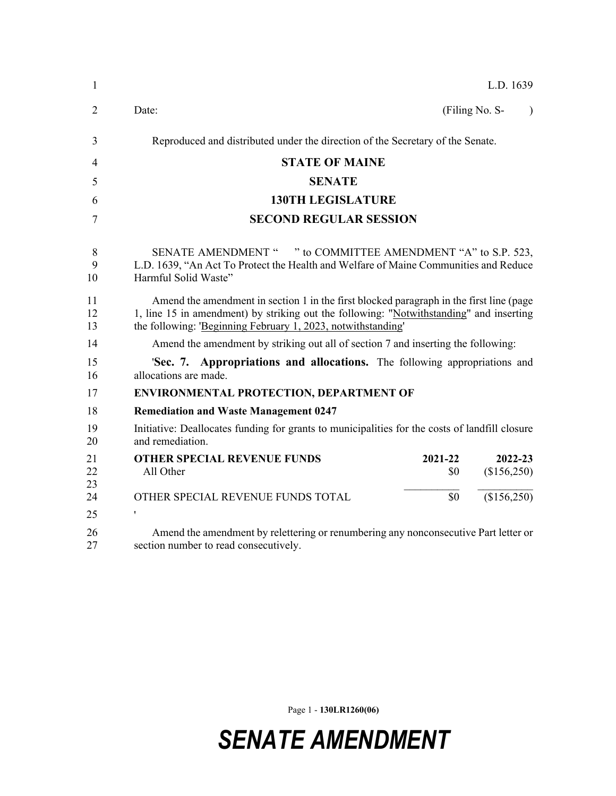| 1                | L.D. 1639                                                                                                                                                                                                                                          |
|------------------|----------------------------------------------------------------------------------------------------------------------------------------------------------------------------------------------------------------------------------------------------|
| $\overline{2}$   | (Filing No. S-<br>Date:<br>$\lambda$                                                                                                                                                                                                               |
| 3                | Reproduced and distributed under the direction of the Secretary of the Senate.                                                                                                                                                                     |
| 4                | <b>STATE OF MAINE</b>                                                                                                                                                                                                                              |
| 5                | <b>SENATE</b>                                                                                                                                                                                                                                      |
| 6                | <b>130TH LEGISLATURE</b>                                                                                                                                                                                                                           |
| 7                | <b>SECOND REGULAR SESSION</b>                                                                                                                                                                                                                      |
| $8\,$<br>9<br>10 | SENATE AMENDMENT " " to COMMITTEE AMENDMENT "A" to S.P. 523,<br>L.D. 1639, "An Act To Protect the Health and Welfare of Maine Communities and Reduce<br>Harmful Solid Waste"                                                                       |
| 11<br>12<br>13   | Amend the amendment in section 1 in the first blocked paragraph in the first line (page<br>1, line 15 in amendment) by striking out the following: "Notwithstanding" and inserting<br>the following: 'Beginning February 1, 2023, notwithstanding' |
| 14               | Amend the amendment by striking out all of section 7 and inserting the following:                                                                                                                                                                  |
| 15<br>16         | 'Sec. 7. Appropriations and allocations. The following appropriations and<br>allocations are made.                                                                                                                                                 |
| 17               | <b>ENVIRONMENTAL PROTECTION, DEPARTMENT OF</b>                                                                                                                                                                                                     |
| 18               | <b>Remediation and Waste Management 0247</b>                                                                                                                                                                                                       |
| 19<br>20         | Initiative: Deallocates funding for grants to municipalities for the costs of landfill closure<br>and remediation.                                                                                                                                 |
| 21<br>22<br>23   | <b>OTHER SPECIAL REVENUE FUNDS</b><br>2021-22<br>2022-23<br>(\$156,250)<br>All Other<br>\$0                                                                                                                                                        |
| 24               | (\$156,250)<br>\$0<br>OTHER SPECIAL REVENUE FUNDS TOTAL                                                                                                                                                                                            |
| 25               | $\pmb{\mathsf{r}}$                                                                                                                                                                                                                                 |
| 26<br>27         | Amend the amendment by relettering or renumbering any nonconsecutive Part letter or<br>section number to read consecutively.                                                                                                                       |

Page 1 - **130LR1260(06)**

*SENATE AMENDMENT*